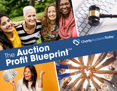# The **Auction**<br>Profit Blueprint™

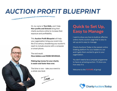# *AUCTION PROFIT BLUEPRINT*

Hi, my name is **Tom Kelly**, and I help Non-profits and Schools bring their charity auctions online to increase their exposure and profitability.

This Auction Profit Blueprint will help your organization bring your event into the 21 st century, broadening your auction's reach to include anyone with a computer or smart phone.

The end result: More bidders and MORE REVENUE.

Making big money for your charity is easier and faster than ever.

The time is now - take your event to a whole new level.

 $\n *ym*\n$ 

### Quick to Set Up, Easy to Manage

I want to show you how to build an effective online charity auction page that is easy to set up and is easy to manage.

Charity Auctions Today is the easiest online bidding platform for your bidders to use and it gets them excited to give to your organization.

You don't need to be a computer programmer to have an amazing auction. I'll show you how easy it is.

Welcome to the FUTURE of giving!

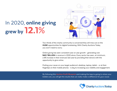### In 2020, online giving grew by 12.1%



Two-thirds of the charity community is concerned they will miss out on the HUGE opportunities for digital fundraising. With Charity Auctions Today, you won't need to worry.

Online giving has seen consistent year on year growth - generating over \$40.7 BILLION in revenue in 2020 alone. Every sector has seen, *at minimum*, a 6% increase in their revenues last year by providing their donors with the opportunity to give online.

Putting your cause on your target audience's desktop, laptop, tablet - or at their fingertips on their mobile phones - is *key* to increasing your visibility and engagement.

By following this **Auction Profit Blueprint** and making the leap to going to where your bidders are, you will get the results that can really *make a difference for your cause*.

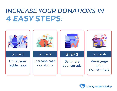### *INCREASE YOUR DONATIONS IN 4 EASY STEPS:*



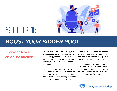

### STEP 1**:**

### *BOOST YOUR BIDDER POOL*

### Everyone loves an online auction.

Here's our BEST advice: Boosting your bidder pool is essential for maximizing your earning potential. The more your cause gains awareness, the more opportunities you provide for your audience to contribute.

When you're online, you can be where your bidders are instantly through the click of a button. Easily connect through social media, email, and text message to expand your reach and opportunities to earn.

Going where your bidders are shows you know how they prefer to communicate and receive information. It keeps you in touch and relevant to your community.

Using technology to promote your auction is the single most cost-effective and impactful way you can augment your earning potential. It's simple, it works and it sets you up for success.

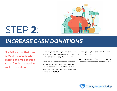

## STEP 2**:**

### *INCREASE CASH DONATIONS*

Statistics show that over 50% of the people who receive an email about a crowdfunding campaign make a donation.

Give your guests an **easy** way to contribute cash donations to your cause, and they'll be more likely to participate in your auction.

Not everyone wants or has the means to bid on items. Their top choices may have already been won. The bidding war may be accelerating past their reach - or - they want to donate MORE.

Providing the option of a cash donation encourages giving.

Don't be left behind. Give donors choices. Expand your horizons and reap the rewards.

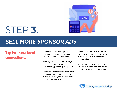

### STEP 3**:**

### *SELL MORE SPONSOR ADS*

### Tap into your local connections.

Local business are looking for new and innovative ways to make genuine connections with their customers.

By selling event sponsorship through your auction, you help local business to show their support and gain exposure.

Sponsorship provides your charity with another income stream, connects you to their client base, and vastly increases your community reach.

With a sponsorship, you can create new avenues of support and long lasting, mutually beneficial professional relationships.

With a little creativity and initiative, you can turn that bidder pool from a puddle into an ocean of possibility.

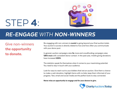

### STEP 4**:**

### *RE-ENGAGE WITH NON-WINNERS*

Give non-winners the opportunity to donate.

Re-engaging with non-winners is crucial to going beyond your final auction totals. Your auction's success is directly related to how and how often you communicate with your donor pool.

In general, auction campaigns raise 5x more and crowdfunding campaigns raise 126% more with *consistent* donor contact. In the past year, mobile giving donations have increased 205%.

The statistics speak for themselves when it comes to your maximizing potential. You need to stay in touch with your audience.

Look for ways to reach out to your bidders that lost an auction. Give them a chance to make a cash donation, highlight items with no bids, keep them informed of your progress. Text, email and social media are the perfect tools to stay connected.

Never miss an opportunity to engage and for your donors to give.